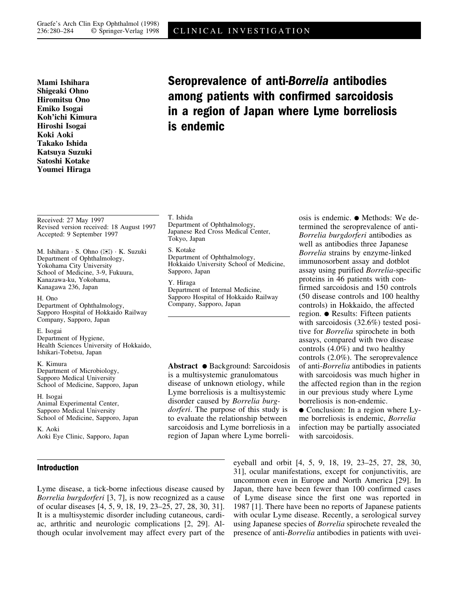Mami Ishihara Shigeaki Ohno Hiromitsu Ono Emiko Isogai Koh'ichi Kimura Hiroshi Isogai Koki Aoki Takako Ishida Katsuya Suzuki Satoshi Kotake Youmei Hiraga

# Seroprevalence of anti-Borrelia antibodies among patients with confirmed sarcoidosis in a region of Japan where Lyme borreliosis is endemic

Received: 27 May 1997 Revised version received: 18 August 1997 Accepted: 9 September 1997

M. Ishihara  $\cdot$  S. Ohno ( $\boxtimes$ )  $\cdot$  K. Suzuki Department of Ophthalmology, Yokohama City University School of Medicine, 3-9, Fukuura, Kanazawa-ku, Yokohama, Kanagawa 236, Japan

H. Ono Department of Ophthalmology, Sapporo Hospital of Hokkaido Railway Company, Sapporo, Japan

E. Isogai Department of Hygiene, Health Sciences University of Hokkaido, Ishikari-Tobetsu, Japan

#### K. Kimura

Department of Microbiology, Sapporo Medical University School of Medicine, Sapporo, Japan

H. Isogai Animal Experimental Center, Sapporo Medical University School of Medicine, Sapporo, Japan

K. Aoki Aoki Eye Clinic, Sapporo, Japan

## Introduction

Lyme disease, a tick-borne infectious disease caused by Borrelia burgdorferi [3, 7], is now recognized as a cause of ocular diseases [4, 5, 9, 18, 19, 23-25, 27, 28, 30, 31]. It is a multisystemic disorder including cutaneous, cardiac, arthritic and neurologic complications [2, 29]. Although ocular involvement may affect every part of the

T. Ishida Department of Ophthalmology, Japanese Red Cross Medical Center, Tokyo, Japan

S. Kotake

Department of Ophthalmology, Hokkaido University School of Medicine, Sapporo, Japan

Y. Hiraga Department of Internal Medicine, Sapporo Hospital of Hokkaido Railway Company, Sapporo, Japan

Abstract  $\bullet$  Background: Sarcoidosis is a multisystemic granulomatous disease of unknown etiology, while Lyme borreliosis is a multisystemic disorder caused by Borrelia burgdorferi. The purpose of this study is to evaluate the relationship between sarcoidosis and Lyme borreliosis in a region of Japan where Lyme borreli-

osis is endemic.  $\bullet$  Methods: We determined the seroprevalence of anti-Borrelia burgdorferi antibodies as well as antibodies three Japanese Borrelia strains by enzyme-linked immunosorbent assay and dotblot assay using purified Borrelia-specific proteins in 46 patients with confirmed sarcoidosis and 150 controls (50 disease controls and 100 healthy controls) in Hokkaido, the affected region.  $\bullet$  Results: Fifteen patients with sarcoidosis (32.6%) tested positive for Borrelia spirochete in both assays, compared with two disease controls (4.0%) and two healthy controls (2.0%). The seroprevalence of anti-Borrelia antibodies in patients with sarcoidosis was much higher in the affected region than in the region in our previous study where Lyme borreliosis is non-endemic.

• Conclusion: In a region where Lyme borreliosis is endemic, Borrelia infection may be partially associated with sarcoidosis.

eyeball and orbit [4, 5, 9, 18, 19, 23-25, 27, 28, 30, 31], ocular manifestations, except for conjunctivitis, are uncommon even in Europe and North America [29]. In Japan, there have been fewer than 100 confirmed cases of Lyme disease since the first one was reported in 1987 [1]. There have been no reports of Japanese patients with ocular Lyme disease. Recently, a serological survey using Japanese species of *Borrelia* spirochete revealed the presence of anti-Borrelia antibodies in patients with uvei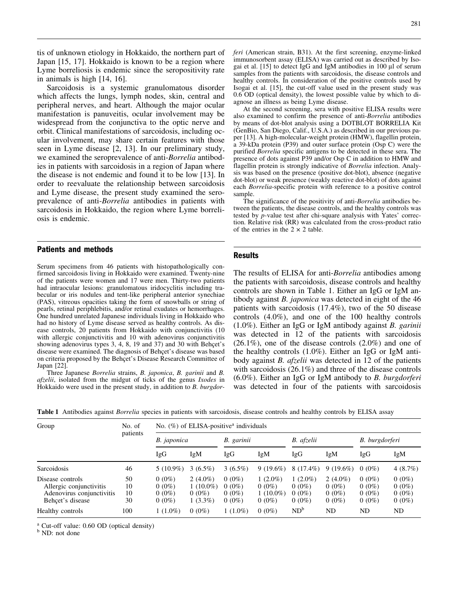tis of unknown etiology in Hokkaido, the northern part of Japan [15, 17]. Hokkaido is known to be a region where Lyme borreliosis is endemic since the seropositivity rate in animals is high [14, 16].

Sarcoidosis is a systemic granulomatous disorder which affects the lungs, lymph nodes, skin, central and peripheral nerves, and heart. Although the major ocular manifestation is panuveitis, ocular involvement may be widespread from the conjunctiva to the optic nerve and orbit. Clinical manifestations of sarcoidosis, including ocular involvement, may share certain features with those seen in Lyme disease [2, 13]. In our preliminary study, we examined the seroprevalence of anti-Borrelia antibodies in patients with sarcoidosis in a region of Japan where the disease is not endemic and found it to be low [13]. In order to reevaluate the relationship between sarcoidosis and Lyme disease, the present study examined the seroprevalence of anti-Borrelia antibodies in patients with sarcoidosis in Hokkaido, the region where Lyme borreliosis is endemic.

#### Patients and methods

Serum specimens from 46 patients with histopathologically confirmed sarcoidosis living in Hokkaido were examined. Twenty-nine of the patients were women and 17 were men. Thirty-two patients had intraocular lesions: granulomatous iridocyclitis including trabecular or iris nodules and tent-like peripheral anterior synechiae (PAS), vitreous opacities taking the form of snowballs or string of pearls, retinal periphlebitis, and/or retinal exudates or hemorrhages. One hundred unrelated Japanese individuals living in Hokkaido who had no history of Lyme disease served as healthy controls. As disease controls, 20 patients from Hokkaido with conjunctivitis (10 with allergic conjunctivitis and 10 with adenovirus conjunctivitis showing adenovirus types 3, 4, 8, 19 and 37) and 30 with Behcet's disease were examined. The diagnosis of Behçet's disease was based on criteria proposed by the Behçet's Disease Research Committee of Japan [22].

Three Japanese Borrelia strains, B. japonica, B. garinii and B. afzelii, isolated from the midgut of ticks of the genus Ixodes in Hokkaido were used in the present study, in addition to *B. burgdor-* feri (American strain, B31). At the first screening, enzyme-linked immunosorbent assay (ELISA) was carried out as described by Isogai et al.  $[15]$  to detect IgG and IgM antibodies in 100  $\mu$ l of serum samples from the patients with sarcoidosis, the disease controls and healthy controls. In consideration of the positive controls used by Isogai et al. [15], the cut-off value used in the present study was 0.6 OD (optical density), the lowest possible value by which to diagnose an illness as being Lyme disease.

At the second screening, sera with positive ELISA results were also examined to confirm the presence of anti-Borrelia antibodies by means of dot-blot analysis using a DOTBLOT BORRELIA Kit (GenBio, San Diego, Calif., U.S.A.) as described in our previous paper [13]. A high-molecular-weight protein (HMW), flagellin protein, a 39-kDa protein (P39) and outer surface protein (Osp C) were the purified Borrelia specific antigens to be detected in these sera. The presence of dots against P39 and/or Osp C in addition to HMW and flagellin protein is strongly indicative of Borrelia infection. Analysis was based on the presence (positive dot-blot), absence (negative dot-blot) or weak presence (weakly reactive dot-blot) of dots against each Borrelia-specific protein with reference to a positive control sample.

The significance of the positivity of anti-Borrelia antibodies between the patients, the disease controls, and the healthy controls was tested by  $p$ -value test after chi-square analysis with Yates' correction. Relative risk (RR) was calculated from the cross-product ratio of the entries in the  $2 \times 2$  table.

### **Results**

The results of ELISA for anti-*Borrelia* antibodies among the patients with sarcoidosis, disease controls and healthy controls are shown in Table 1. Either an IgG or IgM antibody against *B. japonica* was detected in eight of the 46 patients with sarcoidosis (17.4%), two of the 50 disease controls (4.0%), and one of the 100 healthy controls  $(1.0\%)$ . Either an IgG or IgM antibody against *B. garinii* was detected in 12 of the patients with sarcoidosis  $(26.1\%)$ , one of the disease controls  $(2.0\%)$  and one of the healthy controls (1.0%). Either an IgG or IgM antibody against *B. afzelii* was detected in 12 of the patients with sarcoidosis (26.1%) and three of the disease controls  $(6.0\%)$ . Either an IgG or IgM antibody to B. burgdorferi was detected in four of the patients with sarcoidosis

Table 1 Antibodies against *Borrelia* species in patients with sarcoidosis, disease controls and healthy controls by ELISA assay

| Group                                                                                        | No. of<br>patients   | No. $(\%)$ of ELISA-positive <sup><math>a</math></sup> individuals |                                                     |                                              |                                                   |                                                |                                                 |                                              |                                              |
|----------------------------------------------------------------------------------------------|----------------------|--------------------------------------------------------------------|-----------------------------------------------------|----------------------------------------------|---------------------------------------------------|------------------------------------------------|-------------------------------------------------|----------------------------------------------|----------------------------------------------|
|                                                                                              |                      | B. japonica                                                        |                                                     | B. garinii                                   |                                                   | B. afzelii                                     |                                                 | B. burgdorferi                               |                                              |
|                                                                                              |                      | IgG                                                                | IgM                                                 | IgG                                          | IgM                                               | IgG                                            | IgM                                             | IgG                                          | IgM                                          |
| <b>Sarcoidosis</b>                                                                           | 46                   | $5(10.9\%)$                                                        | $3(6.5\%)$                                          | $3(6.5\%)$                                   | $9(19.6\%)$                                       | $8(17.4\%)$                                    | $9(19.6\%)$                                     | $0(0\%)$                                     | 4(8.7%)                                      |
| Disease controls<br>Allergic conjunctivitis<br>Adenovirus conjunctivitis<br>Behcet's disease | 50<br>10<br>10<br>30 | $0(0\%)$<br>$0(0\%)$<br>$0(0\%)$<br>$0(0\%)$                       | $2(4.0\%)$<br>$1(10.0\%)$<br>$0(0\%)$<br>$1(3.3\%)$ | $0(0\%)$<br>$0(0\%)$<br>$0(0\%)$<br>$0(0\%)$ | $1(2.0\%)$<br>$0(0\%)$<br>$1(10.0\%)$<br>$0(0\%)$ | $1(2.0\%)$<br>$0(0\%)$<br>$0(0\%)$<br>$0(0\%)$ | 2 $(4.0\%)$<br>$0(0\%)$<br>$0(0\%)$<br>$0(0\%)$ | $0(0\%)$<br>$0(0\%)$<br>$0(0\%)$<br>$0(0\%)$ | $0(0\%)$<br>$0(0\%)$<br>$0(0\%)$<br>$0(0\%)$ |
| Healthy controls                                                                             | 100                  | $1(1.0\%)$                                                         | $0(0\%)$                                            | $1(1.0\%)$                                   | $0(0\%)$                                          | $ND^b$                                         | ND                                              | ND                                           | ND                                           |

<sup>a</sup> Cut-off value: 0.60 OD (optical density)

<sup>b</sup> ND: not done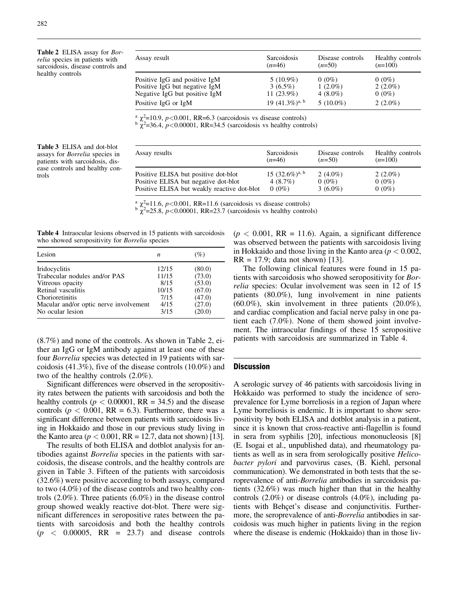healthy controls

| Assay result                  | Sarcoidosis                   | Disease controls | Healthy controls |  |
|-------------------------------|-------------------------------|------------------|------------------|--|
|                               | $(n=46)$                      | $(n=50)$         | $(n=100)$        |  |
| Positive IgG and positive IgM | $5(10.9\%)$                   | $0(0\%)$         | $0(0\%)$         |  |
| Positive IgG but negative IgM | $3(6.5\%)$                    | $1(2.0\%)$       | $2(2.0\%)$       |  |
| Negative IgG but positive IgM | 11 $(23.9\%)$                 | $4(8.0\%)$       | $0(0\%)$         |  |
| Positive IgG or IgM           | 19 $(41.3\%)$ <sup>a, b</sup> | $5(10.0\%)$      | $2(2.0\%)$       |  |

 $\chi^2$ =10.9, p<0.001, RR=6.3 (sarcoidosis vs disease controls) <sup>a</sup>  $\chi^2$ =10.9, *p*<0.001, RR=6.3 (sarcoidosis vs disease controls)  $\frac{b}{\chi^2}$ =36.4, *p*<0.00001, RR=34.5 (sarcoidosis vs healthy controls)

Table 3 ELISA and dot-blot assays for Borrelia species in patients with sarcoidosis, disease controls and healthy controls

| Assay results                               | Sarcoidosis                   | Disease controls | Healthy controls |
|---------------------------------------------|-------------------------------|------------------|------------------|
|                                             | $(n=46)$                      | $(n=50)$         | $(n=100)$        |
| Positive ELISA but positive dot-blot        | 15 $(32.6\%)$ <sup>a, b</sup> | 2 $(4.0\%)$      | $2(2.0\%)$       |
| Positive ELISA but negative dot-blot        | 4(8.7%)                       | $0(0\%)$         | $0(0\%)$         |
| Positive ELISA but weakly reactive dot-blot | $0(0\%)$                      | $3(6.0\%)$       | $0(0\%)$         |

<sup>a</sup>  $\chi^2$ =11.6, p<0.001, RR=11.6 (sarcoidosis vs disease controls)<br><sup>b</sup>  $\chi^2$ =25.8, p<0.00001, RR=23.7 (sarcoidosis vs healthy controls)

Table 4 Intraocular lesions observed in 15 patients with sarcoidosis who showed seropositivity for *Borrelia* species

| Lesion                                 | n     | $\%$   |  |
|----------------------------------------|-------|--------|--|
| Iridocyclitis                          | 12/15 | (80.0) |  |
| Trabecular nodules and/or PAS          | 11/15 | (73.0) |  |
| Vitreous opacity                       | 8/15  | (53.0) |  |
| Retinal vasculitis                     | 10/15 | (67.0) |  |
| Chorioretinitis                        | 7/15  | (47.0) |  |
| Macular and/or optic nerve involvement | 4/15  | (27.0) |  |
| No ocular lesion                       | 3/15  | (20.0) |  |

(8.7%) and none of the controls. As shown in Table 2, either an IgG or IgM antibody against at least one of these four Borrelia species was detected in 19 patients with sarcoidosis (41.3%), five of the disease controls (10.0%) and two of the healthy controls (2.0%).

Significant differences were observed in the seropositivity rates between the patients with sarcoidosis and both the healthy controls ( $p < 0.00001$ , RR = 34.5) and the disease controls ( $p < 0.001$ , RR = 6.3). Furthermore, there was a significant difference between patients with sarcoidosis living in Hokkaido and those in our previous study living in the Kanto area ( $p < 0.001$ , RR = 12.7, data not shown) [13].

The results of both ELISA and dotblot analysis for antibodies against Borrelia species in the patients with sarcoidosis, the disease controls, and the healthy controls are given in Table 3. Fifteen of the patients with sarcoidosis (32.6%) were positive according to both assays, compared to two (4.0%) of the disease controls and two healthy controls (2.0%). Three patients (6.0%) in the disease control group showed weakly reactive dot-blot. There were significant differences in seropositive rates between the patients with sarcoidosis and both the healthy controls  $(p \lt 0.00005, RR = 23.7)$  and disease controls

 $(p < 0.001, RR = 11.6)$ . Again, a significant difference was observed between the patients with sarcoidosis living in Hokkaido and those living in the Kanto area ( $p < 0.002$ ,  $RR = 17.9$ ; data not shown) [13].

The following clinical features were found in 15 patients with sarcoidosis who showed seropositivity for Borrelia species: Ocular involvement was seen in 12 of 15 patients (80.0%), lung involvement in nine patients  $(60.0\%)$ , skin involvement in three patients  $(20.0\%)$ , and cardiac complication and facial nerve palsy in one patient each (7.0%). None of them showed joint involvement. The intraocular findings of these 15 seropositive patients with sarcoidosis are summarized in Table 4.

## **Discussion**

A serologic survey of 46 patients with sarcoidosis living in Hokkaido was performed to study the incidence of seroprevalence for Lyme borreliosis in a region of Japan where Lyme borreliosis is endemic. It is important to show seropositivity by both ELISA and dotblot analysis in a patient, since it is known that cross-reactive anti-flagellin is found in sera from syphilis [20], infectious mononucleosis [8] (E. Isogai et al., unpublished data), and rheumatology patients as well as in sera from serologically positive Helicobacter pylori and parvovirus cases, (B. Kiehl, personal communication). We demonstrated in both tests that the seroprevalence of anti-*Borrelia* antibodies in sarcoidosis patients (32.6%) was much higher than that in the healthy controls (2.0%) or disease controls (4.0%), including patients with Behcet's disease and conjunctivitis. Furthermore, the seroprevalence of anti-*Borrelia* antibodies in sarcoidosis was much higher in patients living in the region where the disease is endemic (Hokkaido) than in those liv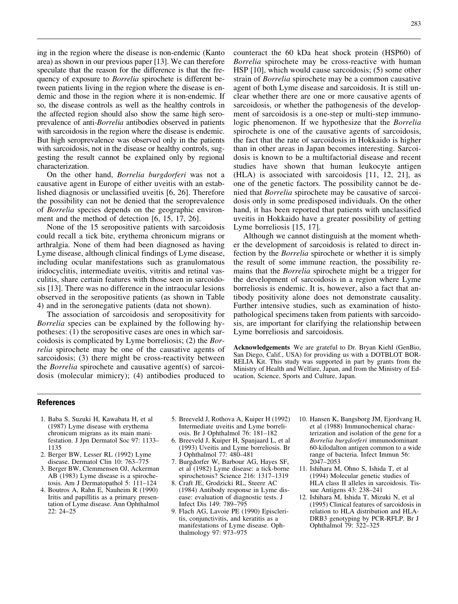ing in the region where the disease is non-endemic (Kanto area) as shown in our previous paper [13]. We can therefore speculate that the reason for the difference is that the frequency of exposure to Borrelia spirochete is different between patients living in the region where the disease is endemic and those in the region where it is non-endemic. If so, the disease controls as well as the healthy controls in the affected region should also show the same high seroprevalence of anti-Borrelia antibodies observed in patients with sarcoidosis in the region where the disease is endemic. But high seroprevalence was observed only in the patients with sarcoidosis, not in the disease or healthy controls, suggesting the result cannot be explained only by regional characterization.

On the other hand, Borrelia burgdorferi was not a causative agent in Europe of either uveitis with an established diagnosis or unclassified uveitis [6, 26]. Therefore the possibility can not be denied that the seroprevalence of Borrelia species depends on the geographic environment and the method of detection [6, 15, 17, 26].

None of the 15 seropositive patients with sarcoidosis could recall a tick bite, erythema chronicum migrans or arthralgia. None of them had been diagnosed as having Lyme disease, although clinical findings of Lyme disease, including ocular manifestations such as granulomatous iridocyclitis, intermediate uveitis, vitritis and retinal vasculitis, share certain features with those seen in sarcoidosis [13]. There was no difference in the intraocular lesions observed in the seropositive patients (as shown in Table 4) and in the seronegative patients (data not shown).

The association of sarcoidosis and seropositivity for Borrelia species can be explained by the following hypotheses: (1) the seropositive cases are ones in which sarcoidosis is complicated by Lyme borreliosis; (2) the Borrelia spirochete may be one of the causative agents of sarcoidosis; (3) there might be cross-reactivity between the Borrelia spirochete and causative agent(s) of sarcoidosis (molecular mimicry); (4) antibodies produced to counteract the 60 kDa heat shock protein (HSP60) of Borrelia spirochete may be cross-reactive with human HSP [10], which would cause sarcoidosis; (5) some other strain of Borrelia spirochete may be a common causative agent of both Lyme disease and sarcoidosis. It is still unclear whether there are one or more causative agents of sarcoidosis, or whether the pathogenesis of the development of sarcoidosis is a one-step or multi-step immunologic phenomenon. If we hypothesize that the Borrelia spirochete is one of the causative agents of sarcoidosis, the fact that the rate of sarcoidosis in Hokkaido is higher than in other areas in Japan becomes interesting. Sarcoidosis is known to be a multifactorial disease and recent studies have shown that human leukocyte antigen (HLA) is associated with sarcoidosis [11, 12, 21], as one of the genetic factors. The possibility cannot be denied that Borrelia spirochete may be causative of sarcoidosis only in some predisposed individuals. On the other hand, it has been reported that patients with unclassified uveitis in Hokkaido have a greater possibility of getting Lyme borreliosis [15, 17].

Although we cannot distinguish at the moment whether the development of sarcoidosis is related to direct infection by the Borrelia spirochete or whether it is simply the result of some immune reaction, the possibility remains that the *Borrelia* spirochete might be a trigger for the development of sarcoidosis in a region where Lyme borreliosis is endemic. It is, however, also a fact that antibody positivity alone does not demonstrate causality. Further intensive studies, such as examination of histopathological specimens taken from patients with sarcoidosis, are important for clarifying the relationship between Lyme borreliosis and sarcoidosis.

Acknowledgements We are grateful to Dr. Bryan Kiehl (GenBio, San Diego, Calif., USA) for providing us with a DOTBLOT BOR-RELIA Kit. This study was supported in part by grants from the Ministry of Health and Welfare, Japan, and from the Ministry of Education, Science, Sports and Culture, Japan.

#### References

- 1. Baba S, Suzuki H, Kawabata H, et al (1987) Lyme disease with erythema chronicum migrans as its main manifestation. J Jpn Dermatol Soc 97: 1133-1135
- 2. Berger BW, Lesser RL (1992) Lyme disease. Dermatol Clin 10: 763-775
- 3. Berger BW, Clemmensen OJ, Ackerman AB (1983) Lyme disease is a spirochetosis. Am J Dermatopathol  $5: 111-124$
- 4. Boutros A, Rahn E, Nauheim R (1990) Iritis and papillitis as a primary presentation of Lyme disease. Ann Ophthalmol 22: 24-25
- 5. Breeveld J, Rothova A, Kuiper H (1992) Intermediate uveitis and Lyme borreliosis. Br J Ophthalmol 76: 181-182
- 6. Breeveld J, Kuiper H, Spanjaard L, et al (1993) Uveitis and Lyme borreliosis. Br J Ophthalmol 77: 480-481
- 7. Burgdorfer W, Barbour AG, Hayes SF, et al (1982) Lyme disease: a tick-borne spirochetosis? Science 216: 1317-1319
- 8. Craft JE, Grodzicki RL, Steere AC (1984) Antibody response in Lyme disease: evaluation of diagnostic tests. J Infect Dis 149: 789-795
- 9. Flach AG, Lavoie PE (1990) Episcleritis, conjunctivitis, and keratitis as a manifestations of Lyme disease. Ophthalmology 97: 973-975
- 10. Hansen K, Bangsborg JM, Ejordvang H, et al (1988) Immunochemical characterization and isolation of the gene for a Borrelia burgdorferi immunodominant 60-kilodalton antigen common to a wide range of bacteria. Infect Immun 56: 2047±2053
- 11. Ishihara M, Ohno S, Ishida T, et al (1994) Molecular genetic studies of HLA class II alleles in sarcoidosis. Tissue Antigens 43: 238–241
- 12. Ishihara M, Ishida T, Mizuki N, et al (1995) Clinical features of sarcoidosis in relation to HLA distribution and HLA-DRB3 genotyping by PCR-RFLP. Br J Ophthalmol 79: 322-325